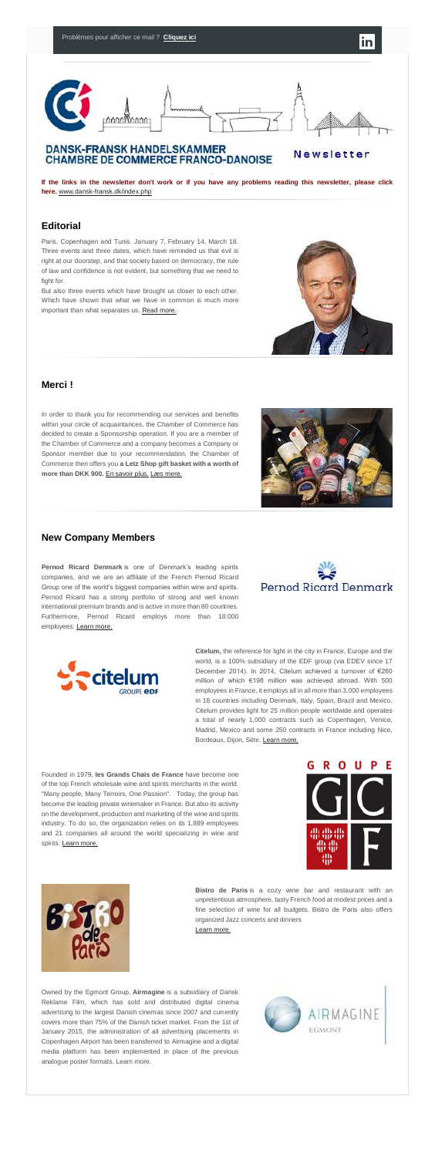# <u> Annishann</u>

# **DANSK-FRANSK HANDELSKAMMER CHAMBRE DE COMMERCE FRANCO-DANOISE**

Newsletter

**If the links in the newsletter don't work or if you have any problems reading this newsletter, please click here.** [www.dansk-fransk.dk/index.php](http://www.dansk-fransk.dk/index.php?id=36072)

### **Editorial**

But also three events which have brought us closer to each other. Which have shown that what we have in common is much more important than what separates us. [Read more.](http://www.dansk-fransk.dk/index.php?id=8564)

Paris, Copenhagen and Tunis. January 7, February 14, March 18. Three events and three dates, which have reminded us that evil is right at our doorstep, and that society based on democracy, the rule of law and confidence is not evident, but something that we need to fight for.

# **Merci !**

In order to thank you for recommending our services and benefits within your circle of acquaintances, the Chamber of Commerce has decided to create a Sponsorship operation. If you are a member of the Chamber of Commerce and a company becomes a Company or Sponsor member due to your recommendation, the Chamber of Commerce then offers you **a Letz Shop gift basket with a worth of more than DKK 900.** [En savoir plus.](http://www.dansk-fransk.dk/adhesion/parrainage/) [Læs mere.](http://www.dansk-fransk.dk/dk/indmeldelse/parrainage/)



Founded in 1979, **les Grands Chais de France** have become one of the top French wholesale wine and spirits merchants in the world. "Many people, Many Terroirs, One Passion". Today, the group has become the leading private winemaker in France. But also its activity on the development, production and marketing of the wine and spirits industry. To do so, the organization relies on its 1,889 employees and 21 companies all around the world specializing in wine and spirits. [Learn more.](http://www.gcfplanet.com/en/Home-2.html)





# **New Company Members**

**Pernod Ricard Denmark** is one of Denmark's leading spirits companies, and we are an affiliate of the French Pernod Ricard Group one of the world's biggest companies within wine and spirits. Pernod Ricard has a strong portfolio of strong and well known international premium brands and is active in more than 80 countries. Furthermore, Pernod Ricard employs more than 18.000 employees. [Learn more.](http://www.pernod-ricard-denmark.com/)



**Bistro de Paris** is a cozy wine bar and restaurant with an unpretentious atmosphere, tasty French food at modest prices and a fine selection of wine for all budgets. Bistro de Paris also offers organized Jazz concerts and dinners………………………………….. [Learn more.](http://www.bistrodeparis.dk/)



world, is a 100% subsidiary of the EDF group (via EDEV since 17 December 2014). In 2014, Citelum achieved a turnover of €260 million of which €198 million was achieved abroad. With 500 employees in France, it employs all in all more than 3,000 employees in 18 countries including Denmark, Italy, Spain, Brazil and Mexico. Citelum provides light for 25 million people worldwide and operates a total of nearly 1,000 contracts such as Copenhagen, Venice, Madrid, Mexico and some 250 contracts in France including Nice, Bordeaux, Dijon, Sète. [Learn more.](http://www.dansk-fransk.dk/index.php?id=8571)

Owned by the Egmont Group, **Airmagine** is a subsidiary of Dansk Reklame Film, which has sold and distributed digital cinema advertising to the largest Danish cinemas since 2007 and currently covers more than 75% of the Danish ticket market. From the 1st of January 2015, the administration of all advertising placements in Copenhagen Airport has been transferred to Airmagine and a digital media platform has been implemented in place of the previous analogue poster formats. Learn more.

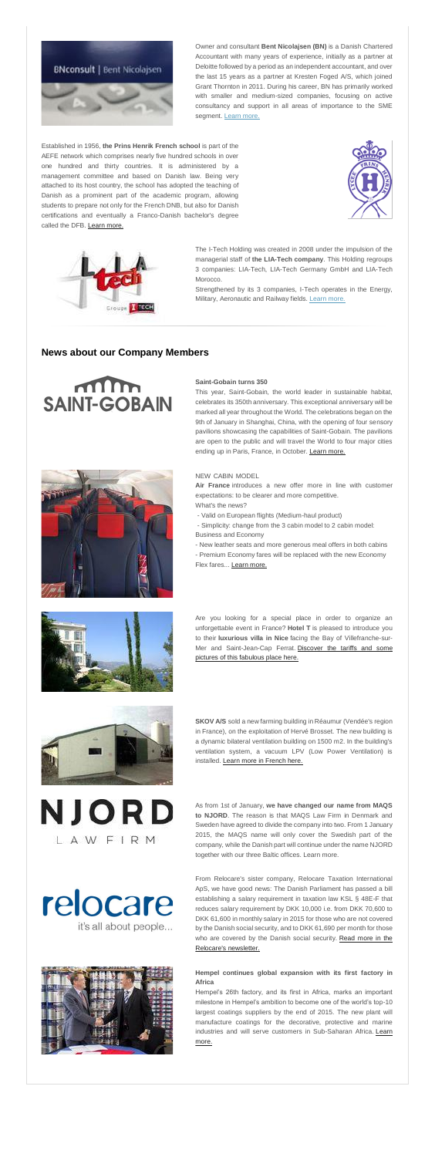

Owner and consultant **Bent Nicolajsen (BN)** is a Danish Chartered Accountant with many years of experience, initially as a partner at Deloitte followed by a period as an independent accountant, and over the last 15 years as a partner at Kresten Foged A/S, which joined Grant Thornton in 2011. During his career, BN has primarily worked with smaller and medium-sized companies, focusing on active consultancy and support in all areas of importance to the SME segment. [Learn more.](http://www.dansk-fransk.dk/index.php?id=8574)

Established in 1956, **the Prins Henrik French school** is part of the AEFE network which comprises nearly five hundred schools in over one hundred and thirty countries. It is administered by a management committee and based on Danish law. Being very attached to its host country, the school has adopted the teaching of Danish as a prominent part of the academic program, allowing students to prepare not only for the French DNB, but also for Danish certifications and eventually a Franco-Danish bachelor's degree called the DFB. [Learn more.](http://www.dansk-fransk.dk/index.php?id=8572)





- What's the news?
- Valid on European flights (Medium-haul product)
- Simplicity: change from the 3 cabin model to 2 cabin model: Business and Economy
- New leather seats and more generous meal offers in both cabins
- Premium Economy fares will be replaced with the new Economy Flex fares... [Learn more.](http://www.dansk-fransk.dk/index.php?id=8563)



The I-Tech Holding was created in 2008 under the impulsion of the managerial staff of **the LIA-Tech company**. This Holding regroups 3 companies: LIA-Tech, LIA-Tech Germany GmbH and LIA-Tech Morocco.

Strengthened by its 3 companies, I-Tech operates in the Energy, Military, Aeronautic and Railway fields. [Learn more.](http://www.dansk-fransk.dk/index.php?id=8573)

**SKOV A/S** sold a new farming building in Réaumur (Vendée's region in France), on the exploitation of Hervé Brosset. The new building is a dynamic bilateral ventilation building on 1500 m2. In the building's ventilation system, a vacuum LPV (Low Power Ventilation) is installed. [Learn more in French here.](http://www.dansk-fransk.dk/index.php?id=8568)

# **News about our Company Members**

# $m_{\rm m}$ **SAINT-GOBAIN**



This year, Saint-Gobain, the world leader in sustainable habitat, celebrates its 350th anniversary. This exceptional anniversary will be marked all year throughout the World. The celebrations began on the 9th of January in Shanghai, China, with the opening of four sensory pavilions showcasing the capabilities of Saint-Gobain. The pavilions are open to the public and will travel the World to four major cities ending up in Paris, France, in October. [Learn more.](http://www.dansk-fransk.dk/index.php?id=8570)



#### NEW CABIN MODEL

**Air France** introduces a new offer more in line with customer expectations: to be clearer and more competitive.

Are you looking for a special place in order to organize an unforgettable event in France? **Hotel T** is pleased to introduce you to their **luxurious villa in Nice** facing the Bay of Villefranche-sur-Mer and Saint-Jean-Cap Ferrat. [Discover the tariffs and some](http://www.dansk-fransk.dk/index.php?id=8569)  [pictures of this fabulous place here.](http://www.dansk-fransk.dk/index.php?id=8569)



NJORD

LAWFIRM

relocare

it's all about people...

As from 1st of January, **we have changed our name from MAQS to NJORD**. The reason is that MAQS Law Firm in Denmark and Sweden have agreed to divide the company into two. From 1 January 2015, the MAQS name will only cover the Swedish part of the company, while the Danish part will continue under the name NJORD together with our three Baltic offices. Learn more.

From Relocare's sister company, Relocare Taxation International ApS, we have good news: The Danish Parliament has passed a bill establishing a salary requirement in taxation law KSL § 48E-F that reduces salary requirement by DKK 10,000 i.e. from DKK 70,600 to DKK 61,600 in monthly salary in 2015 for those who are not covered by the Danish social security, and to DKK 61,690 per month for those who are covered by the Danish social security. Read more in the [Relocare's newsletter.](http://us10.campaign-archive1.com/?u=11b145e786f7d1fce032c4ea1&id=99f4d3a5dc&e=92229be4cc)



#### **Hempel continues global expansion with its first factory in Africa**

Hempel's 26th factory, and its first in Africa, marks an important milestone in Hempel's ambition to become one of the world's top-10 largest coatings suppliers by the end of 2015. The new plant will manufacture coatings for the decorative, protective and marine industries and will serve customers in Sub-Saharan Africa. Learn [more.](http://www.dansk-fransk.dk/index.php?id=8567)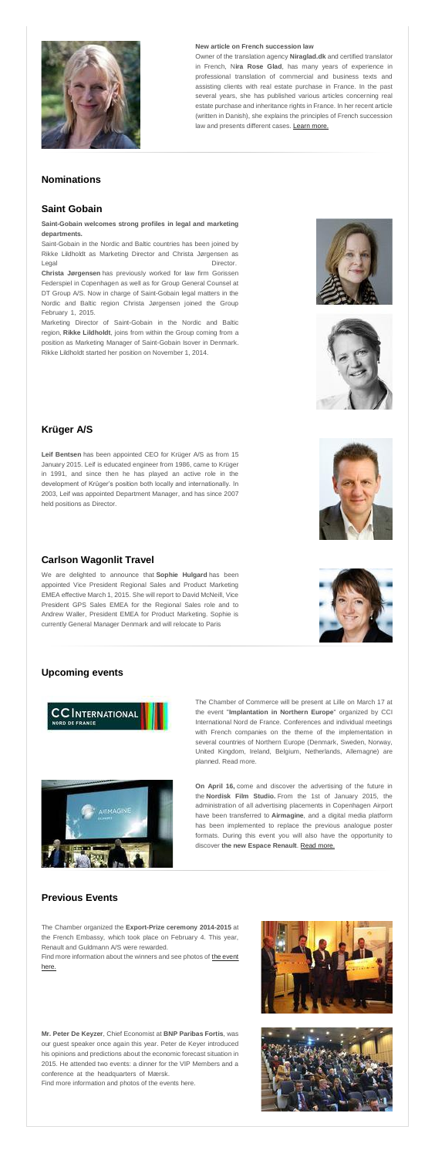

#### **New article on French succession law**

Owner of the translation agency **Niraglad.dk** and certified translator in French, N**ira Rose Glad**, has many years of experience in professional translation of commercial and business texts and assisting clients with real estate purchase in France. In the past several years, she has published various articles concerning real estate purchase and inheritance rights in France. In her recent article (written in Danish), she explains the principles of French succession law and presents different cases. [Learn more.](http://www.dansk-fransk.dk/index.php?id=8566)

Saint-Gobain in the Nordic and Baltic countries has been joined by Rikke Lildholdt as Marketing Director and Christa Jørgensen as Legal Director.

**Christa Jørgensen** has previously worked for law firm Gorissen Federspiel in Copenhagen as well as for Group General Counsel at DT Group A/S. Now in charge of Saint-Gobain legal matters in the Nordic and Baltic region Christa Jørgensen joined the Group February 1, 2015.

# **Nominations**

# **Saint Gobain**

#### **Saint-Gobain welcomes strong profiles in legal and marketing departments.**

Marketing Director of Saint-Gobain in the Nordic and Baltic region, **Rikke Lildholdt**, joins from within the Group coming from a position as Marketing Manager of Saint-Gobain Isover in Denmark. Rikke Lildholdt started her position on November 1, 2014.





# **Krüger A/S**

**Leif Bentsen** has been appointed CEO for Krüger A/S as from 15 January 2015. Leif is educated engineer from 1986, came to Krüger in 1991, and since then he has played an active role in the development of Krüger's position both locally and internationally. In 2003, Leif was appointed Department Manager, and has since 2007 held positions as Director.

Find more information about the winners and see photos of the event [here.](http://www.dansk-fransk.dk/la-chambre/prix-de-lexportation-air-france/)

**Mr. Peter De Keyzer**, Chief Economist at **BNP Paribas Fortis**, was our guest speaker once again this year. Peter de Keyer introduced his opinions and predictions about the economic forecast situation in 2015. He attended two events: a dinner for the VIP Members and a conference at the headquarters of Mærsk.



# **Carlson Wagonlit Travel**

We are delighted to announce that **Sophie Hulgard** has been appointed Vice President Regional Sales and Product Marketing EMEA effective March 1, 2015. She will report to David McNeill, Vice President GPS Sales EMEA for the Regional Sales role and to Andrew Waller, President EMEA for Product Marketing. Sophie is currently General Manager Denmark and will relocate to Paris





# **Upcoming events**





The Chamber of Commerce will be present at Lille on March 17 at the event "**Implantation in Northern Europe**" organized by CCI International Nord de France. Conferences and individual meetings with French companies on the theme of the implementation in several countries of Northern Europe (Denmark, Sweden, Norway, United Kingdom, Ireland, Belgium, Netherlands, Allemagne) are planned. Read more.

**On April 16,** come and discover the advertising of the future in the **Nordisk Film Studio.** From the 1st of January 2015, the administration of all advertising placements in Copenhagen Airport have been transferred to **Airmagine**, and a digital media platform has been implemented to replace the previous analogue poster formats. During this event you will also have the opportunity to discover **the new Espace Renault**. [Read more.](http://www.dansk-fransk.dk/actualite/evenements/vue-detail/d/16-avril/)

# **Previous Events**

The Chamber organized the **Export-Prize ceremony 2014-2015** at the French Embassy, which took place on February 4. This year, Renault and Guldmann A/S were rewarded.

Find more information and photos of the events here.